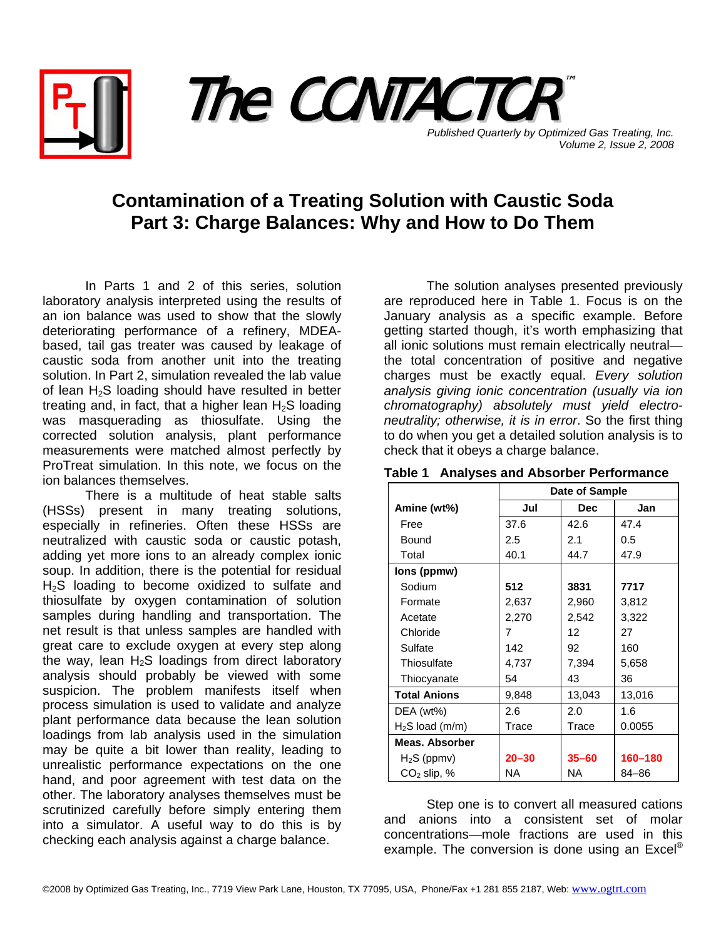



**Published Quarterly by Optimized Gas Treating, Inc.** *Volume 2, Issue 2, 2008*

## **Contamination of a Treating Solution with Caustic Soda Part 3: Charge Balances: Why and How to Do Them**

In Parts 1 and 2 of this series, solution laboratory analysis interpreted using the results of an ion balance was used to show that the slowly deteriorating performance of a refinery, MDEAbased, tail gas treater was caused by leakage of caustic soda from another unit into the treating solution. In Part 2, simulation revealed the lab value of lean  $H_2S$  loading should have resulted in better treating and, in fact, that a higher lean  $H_2S$  loading was masquerading as thiosulfate. Using the corrected solution analysis, plant performance measurements were matched almost perfectly by ProTreat simulation. In this note, we focus on the ion balances themselves.

There is a multitude of heat stable salts (HSSs) present in many treating solutions, especially in refineries. Often these HSSs are neutralized with caustic soda or caustic potash, adding yet more ions to an already complex ionic soup. In addition, there is the potential for residual H<sub>2</sub>S loading to become oxidized to sulfate and thiosulfate by oxygen contamination of solution samples during handling and transportation. The net result is that unless samples are handled with great care to exclude oxygen at every step along the way, lean  $H_2S$  loadings from direct laboratory analysis should probably be viewed with some suspicion. The problem manifests itself when process simulation is used to validate and analyze plant performance data because the lean solution loadings from lab analysis used in the simulation may be quite a bit lower than reality, leading to unrealistic performance expectations on the one hand, and poor agreement with test data on the other. The laboratory analyses themselves must be scrutinized carefully before simply entering them into a simulator. A useful way to do this is by checking each analysis against a charge balance.

The solution analyses presented previously are reproduced here in Table 1. Focus is on the January analysis as a specific example. Before getting started though, it's worth emphasizing that all ionic solutions must remain electrically neutral the total concentration of positive and negative charges must be exactly equal. *Every solution analysis giving ionic concentration (usually via ion chromatography) absolutely must yield electroneutrality; otherwise, it is in error*. So the first thing to do when you get a detailed solution analysis is to check that it obeys a charge balance.

|                     | Date of Sample |            |         |  |  |
|---------------------|----------------|------------|---------|--|--|
| Amine (wt%)         | Jul            | <b>Dec</b> | Jan     |  |  |
| Free                | 37.6           | 42.6       | 47.4    |  |  |
| Bound               | 2.5            | 2.1        | 0.5     |  |  |
| Total               | 40.1           | 44.7       | 47.9    |  |  |
| lons (ppmw)         |                |            |         |  |  |
| Sodium              | 512            | 3831       | 7717    |  |  |
| Formate             | 2,637          | 2,960      | 3,812   |  |  |
| Acetate             | 2,270          | 2,542      | 3,322   |  |  |
| Chloride            | 7              | 12         | 27      |  |  |
| Sulfate             | 142            | 92         | 160     |  |  |
| Thiosulfate         | 4,737          | 7,394      | 5,658   |  |  |
| Thiocyanate         | 54             | 43         | 36      |  |  |
| <b>Total Anions</b> | 9,848          | 13,043     | 13,016  |  |  |
| DEA (wt%)           | 2.6            | 2.0        | 1.6     |  |  |
| $H2S$ load (m/m)    | Trace          | Trace      | 0.0055  |  |  |
| Meas. Absorber      |                |            |         |  |  |
| $H_2S$ (ppmv)       | $20 - 30$      | $35 - 60$  | 160-180 |  |  |
| $CO2$ slip, %       | NA             | NA         | 84-86   |  |  |

## **Table 1 Analyses and Absorber Performance**

Step one is to convert all measured cations and anions into a consistent set of molar concentrations—mole fractions are used in this example. The conversion is done using an Excel<sup>®</sup>